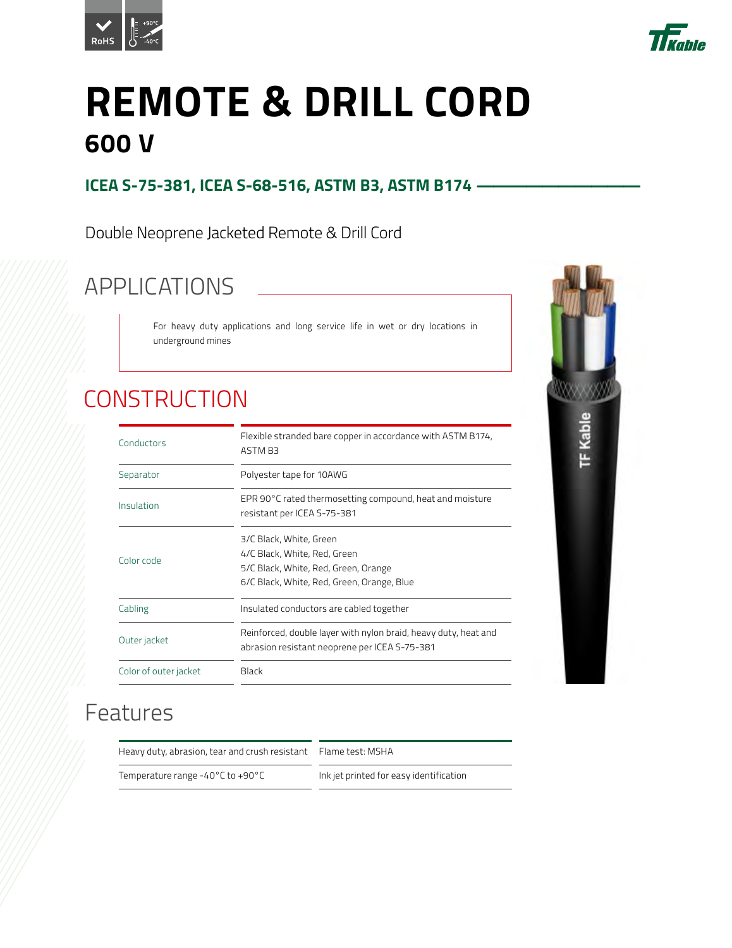



# **REMOTE & DRILL CORD 600 V**

#### **ICEA S-75-381, ICEA S-68-516, ASTM B3, ASTM B174 -**

Double Neoprene Jacketed Remote & Drill Cord

# APPLICATIONS

For heavy duty applications and long service life in wet or dry locations in underground mines

# **CONSTRUCTION**

| Conductors            | Flexible stranded bare copper in accordance with ASTM B174,<br>ASTM B3                                                                        |  |  |  |  |  |  |
|-----------------------|-----------------------------------------------------------------------------------------------------------------------------------------------|--|--|--|--|--|--|
| Separator             | Polyester tape for 10AWG                                                                                                                      |  |  |  |  |  |  |
| Insulation            | EPR 90°C rated thermosetting compound, heat and moisture<br>resistant per ICEA S-75-381                                                       |  |  |  |  |  |  |
| Color code            | 3/C Black, White, Green<br>4/C Black, White, Red, Green<br>5/C Black, White, Red, Green, Orange<br>6/C Black, White, Red, Green, Orange, Blue |  |  |  |  |  |  |
| Cabling               | Insulated conductors are cabled together                                                                                                      |  |  |  |  |  |  |
| Outer jacket          | Reinforced, double layer with nylon braid, heavy duty, heat and<br>abrasion resistant neoprene per ICEA S-75-381                              |  |  |  |  |  |  |
| Color of outer jacket | Black                                                                                                                                         |  |  |  |  |  |  |



#### Features

Heavy duty, abrasion, tear and crush resistant Flame test: MSHA

Temperature range -40°C to +90°C Ink jet printed for easy identification